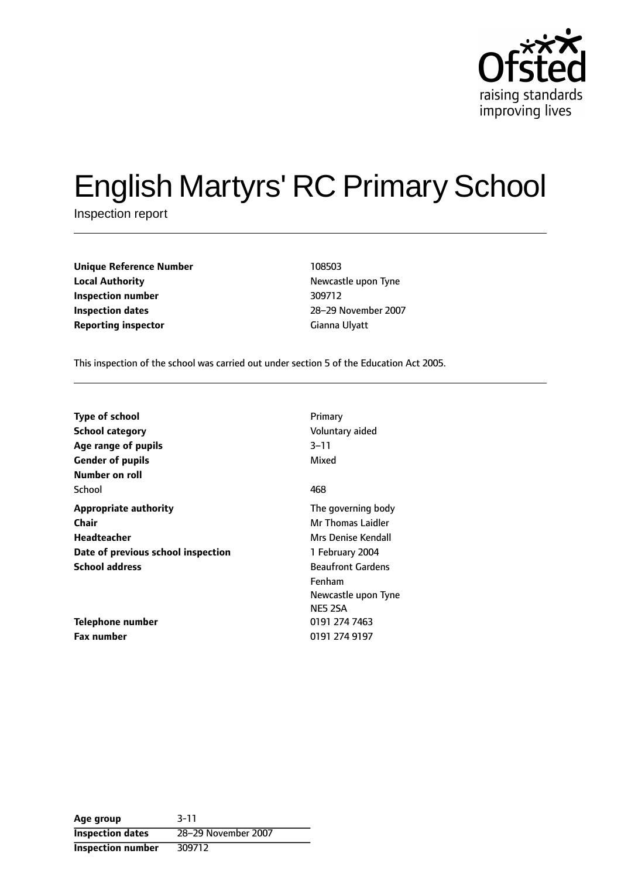

# English Martyrs' RC Primary School

Inspection report

| <b>Unique Reference Number</b> | 108503        |
|--------------------------------|---------------|
| <b>Local Authority</b>         | Newcastle upo |
| Inspection number              | 309712        |
| <b>Inspection dates</b>        | 28-29 Noveml  |
| <b>Reporting inspector</b>     | Gianna Ulyatt |

**Newcastle upon Tyne Inspection number** 309712 **Inspection dates** 2829 November 2007

This inspection of the school was carried out under section 5 of the Education Act 2005.

| <b>Type of school</b><br><b>School category</b><br>Age range of pupils<br><b>Gender of pupils</b> | Primary<br>Voluntary aided<br>3–11<br>Mixed                                 |
|---------------------------------------------------------------------------------------------------|-----------------------------------------------------------------------------|
| Number on roll<br>School                                                                          | 468                                                                         |
| <b>Appropriate authority</b><br>Chair<br>Headteacher                                              | The governing body<br>Mr Thomas Laidler<br>Mrs Denise Kendall               |
| Date of previous school inspection                                                                | 1 February 2004                                                             |
| <b>School address</b>                                                                             | <b>Beaufront Gardens</b><br>Fenham<br>Newcastle upon Tyne<br><b>NE5 2SA</b> |
| Telephone number                                                                                  | 0191 274 7463                                                               |
| <b>Fax number</b>                                                                                 | 0191 274 9197                                                               |

**Age group** 3-11 **Inspection dates** 28-29 November 2007 **Inspection number** 309712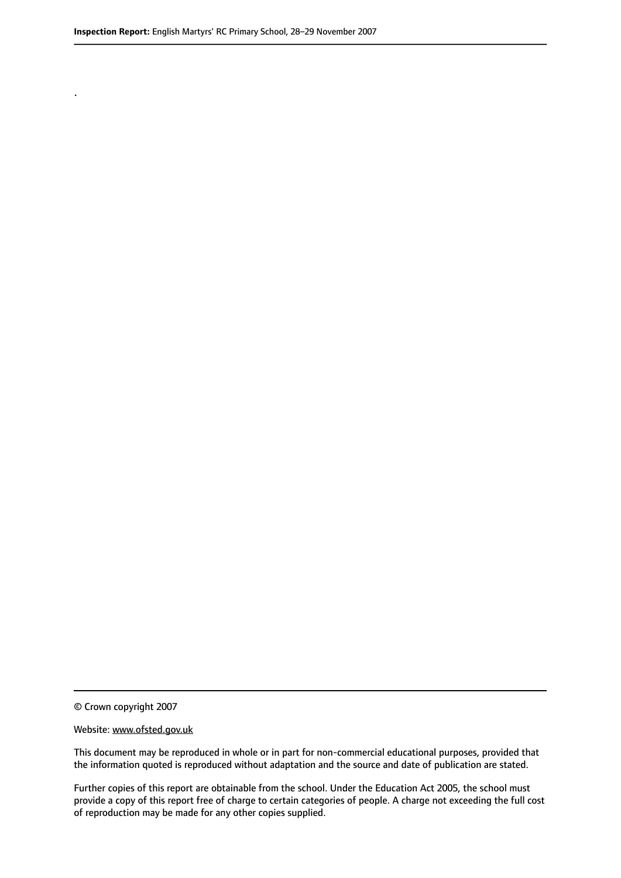.

© Crown copyright 2007

#### Website: www.ofsted.gov.uk

This document may be reproduced in whole or in part for non-commercial educational purposes, provided that the information quoted is reproduced without adaptation and the source and date of publication are stated.

Further copies of this report are obtainable from the school. Under the Education Act 2005, the school must provide a copy of this report free of charge to certain categories of people. A charge not exceeding the full cost of reproduction may be made for any other copies supplied.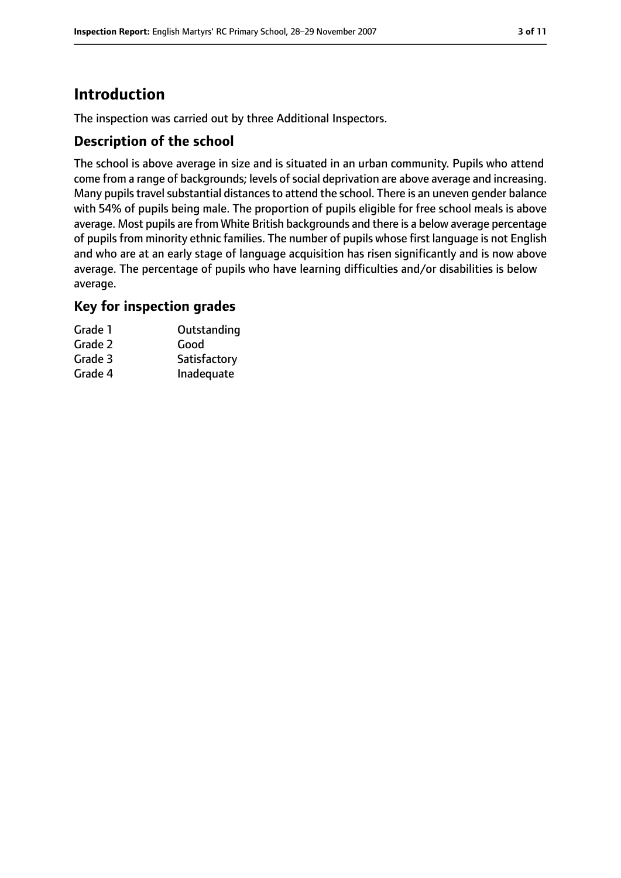# **Introduction**

The inspection was carried out by three Additional Inspectors.

## **Description of the school**

The school is above average in size and is situated in an urban community. Pupils who attend come from a range of backgrounds; levels of social deprivation are above average and increasing. Many pupils travel substantial distances to attend the school. There is an uneven gender balance with 54% of pupils being male. The proportion of pupils eligible for free school meals is above average. Most pupils are from White British backgrounds and there is a below average percentage of pupils from minority ethnic families. The number of pupils whose first language is not English and who are at an early stage of language acquisition has risen significantly and is now above average. The percentage of pupils who have learning difficulties and/or disabilities is below average.

## **Key for inspection grades**

| Grade 1 | Outstanding  |
|---------|--------------|
| Grade 2 | Good         |
| Grade 3 | Satisfactory |
| Grade 4 | Inadequate   |
|         |              |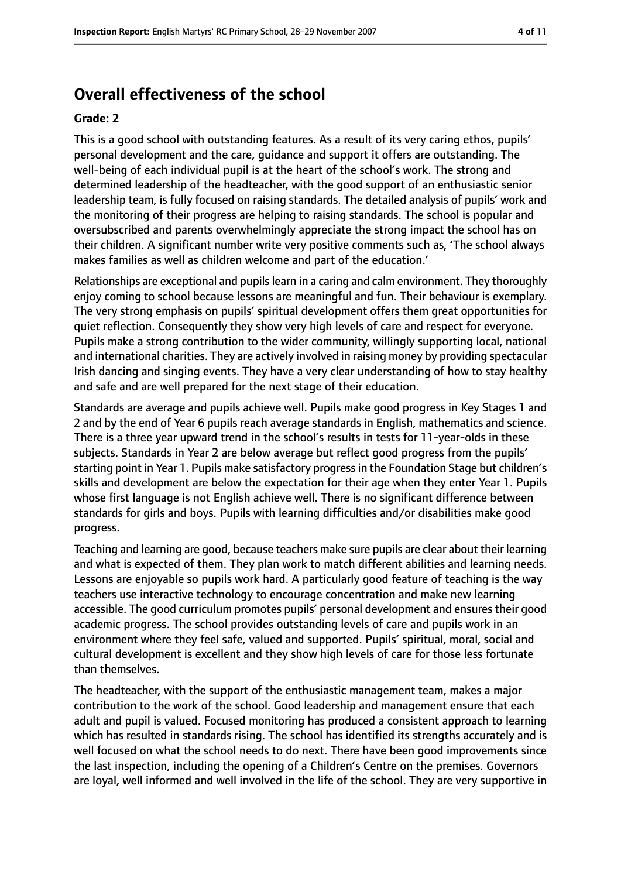# **Overall effectiveness of the school**

#### **Grade: 2**

This is a good school with outstanding features. As a result of its very caring ethos, pupils' personal development and the care, guidance and support it offers are outstanding. The well-being of each individual pupil is at the heart of the school's work. The strong and determined leadership of the headteacher, with the good support of an enthusiastic senior leadership team, is fully focused on raising standards. The detailed analysis of pupils' work and the monitoring of their progress are helping to raising standards. The school is popular and oversubscribed and parents overwhelmingly appreciate the strong impact the school has on their children. A significant number write very positive comments such as, 'The school always makes families as well as children welcome and part of the education.'

Relationships are exceptional and pupilslearn in a caring and calm environment. They thoroughly enjoy coming to school because lessons are meaningful and fun. Their behaviour is exemplary. The very strong emphasis on pupils' spiritual development offers them great opportunities for quiet reflection. Consequently they show very high levels of care and respect for everyone. Pupils make a strong contribution to the wider community, willingly supporting local, national and international charities. They are actively involved in raising money by providing spectacular Irish dancing and singing events. They have a very clear understanding of how to stay healthy and safe and are well prepared for the next stage of their education.

Standards are average and pupils achieve well. Pupils make good progress in Key Stages 1 and 2 and by the end of Year 6 pupils reach average standards in English, mathematics and science. There is a three year upward trend in the school's results in tests for 11-year-olds in these subjects. Standards in Year 2 are below average but reflect good progress from the pupils' starting point in Year 1. Pupils make satisfactory progressin the Foundation Stage but children's skills and development are below the expectation for their age when they enter Year 1. Pupils whose first language is not English achieve well. There is no significant difference between standards for girls and boys. Pupils with learning difficulties and/or disabilities make good progress.

Teaching and learning are good, because teachers make sure pupils are clear about their learning and what is expected of them. They plan work to match different abilities and learning needs. Lessons are enjoyable so pupils work hard. A particularly good feature of teaching is the way teachers use interactive technology to encourage concentration and make new learning accessible. The good curriculum promotes pupils' personal development and ensures their good academic progress. The school provides outstanding levels of care and pupils work in an environment where they feel safe, valued and supported. Pupils' spiritual, moral, social and cultural development is excellent and they show high levels of care for those less fortunate than themselves.

The headteacher, with the support of the enthusiastic management team, makes a major contribution to the work of the school. Good leadership and management ensure that each adult and pupil is valued. Focused monitoring has produced a consistent approach to learning which has resulted in standards rising. The school has identified its strengths accurately and is well focused on what the school needs to do next. There have been good improvements since the last inspection, including the opening of a Children's Centre on the premises. Governors are loyal, well informed and well involved in the life of the school. They are very supportive in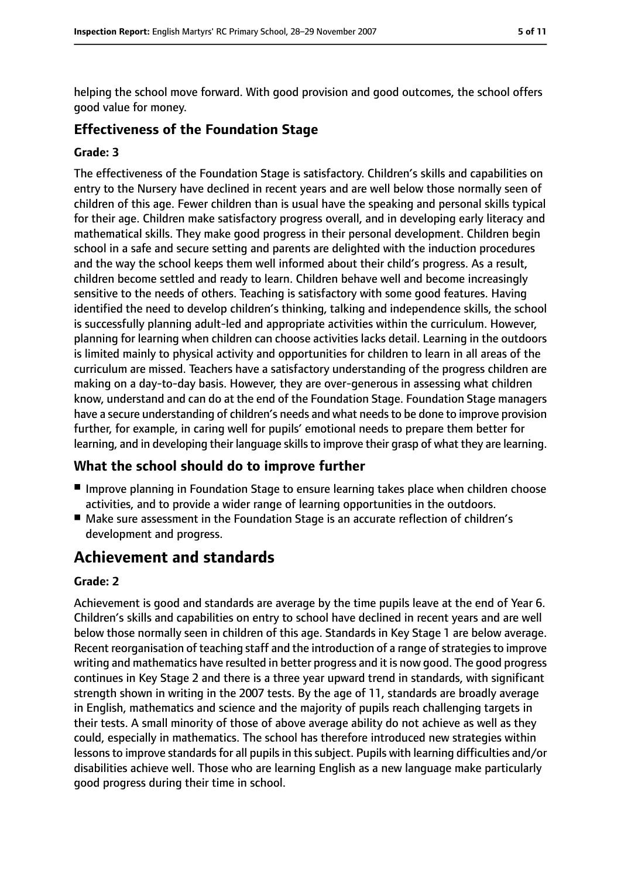helping the school move forward. With good provision and good outcomes, the school offers good value for money.

## **Effectiveness of the Foundation Stage**

#### **Grade: 3**

The effectiveness of the Foundation Stage is satisfactory. Children's skills and capabilities on entry to the Nursery have declined in recent years and are well below those normally seen of children of this age. Fewer children than is usual have the speaking and personal skills typical for their age. Children make satisfactory progress overall, and in developing early literacy and mathematical skills. They make good progress in their personal development. Children begin school in a safe and secure setting and parents are delighted with the induction procedures and the way the school keeps them well informed about their child's progress. As a result, children become settled and ready to learn. Children behave well and become increasingly sensitive to the needs of others. Teaching is satisfactory with some good features. Having identified the need to develop children's thinking, talking and independence skills, the school is successfully planning adult-led and appropriate activities within the curriculum. However, planning for learning when children can choose activities lacks detail. Learning in the outdoors is limited mainly to physical activity and opportunities for children to learn in all areas of the curriculum are missed. Teachers have a satisfactory understanding of the progress children are making on a day-to-day basis. However, they are over-generous in assessing what children know, understand and can do at the end of the Foundation Stage. Foundation Stage managers have a secure understanding of children's needs and what needs to be done to improve provision further, for example, in caring well for pupils' emotional needs to prepare them better for learning, and in developing their language skills to improve their grasp of what they are learning.

# **What the school should do to improve further**

- Improve planning in Foundation Stage to ensure learning takes place when children choose activities, and to provide a wider range of learning opportunities in the outdoors.
- Make sure assessment in the Foundation Stage is an accurate reflection of children's development and progress.

# **Achievement and standards**

## **Grade: 2**

Achievement is good and standards are average by the time pupils leave at the end of Year 6. Children's skills and capabilities on entry to school have declined in recent years and are well below those normally seen in children of this age. Standards in Key Stage 1 are below average. Recent reorganisation of teaching staff and the introduction of a range of strategies to improve writing and mathematics have resulted in better progress and it is now good. The good progress continues in Key Stage 2 and there is a three year upward trend in standards, with significant strength shown in writing in the 2007 tests. By the age of 11, standards are broadly average in English, mathematics and science and the majority of pupils reach challenging targets in their tests. A small minority of those of above average ability do not achieve as well as they could, especially in mathematics. The school has therefore introduced new strategies within lessons to improve standards for all pupils in this subject. Pupils with learning difficulties and/or disabilities achieve well. Those who are learning English as a new language make particularly good progress during their time in school.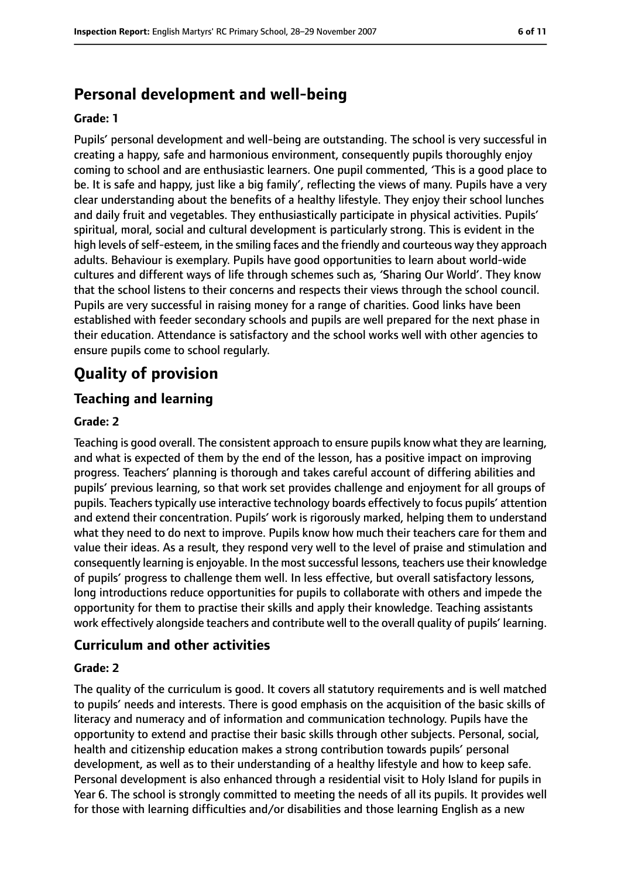# **Personal development and well-being**

#### **Grade: 1**

Pupils' personal development and well-being are outstanding. The school is very successful in creating a happy, safe and harmonious environment, consequently pupils thoroughly enjoy coming to school and are enthusiastic learners. One pupil commented, 'This is a good place to be. It is safe and happy, just like a big family', reflecting the views of many. Pupils have a very clear understanding about the benefits of a healthy lifestyle. They enjoy their school lunches and daily fruit and vegetables. They enthusiastically participate in physical activities. Pupils' spiritual, moral, social and cultural development is particularly strong. This is evident in the high levels of self-esteem, in the smiling faces and the friendly and courteous way they approach adults. Behaviour is exemplary. Pupils have good opportunities to learn about world-wide cultures and different ways of life through schemes such as, 'Sharing Our World'. They know that the school listens to their concerns and respects their views through the school council. Pupils are very successful in raising money for a range of charities. Good links have been established with feeder secondary schools and pupils are well prepared for the next phase in their education. Attendance is satisfactory and the school works well with other agencies to ensure pupils come to school regularly.

# **Quality of provision**

## **Teaching and learning**

#### **Grade: 2**

Teaching is good overall. The consistent approach to ensure pupils know what they are learning, and what is expected of them by the end of the lesson, has a positive impact on improving progress. Teachers' planning is thorough and takes careful account of differing abilities and pupils' previous learning, so that work set provides challenge and enjoyment for all groups of pupils. Teacherstypically use interactive technology boards effectively to focus pupils' attention and extend their concentration. Pupils' work is rigorously marked, helping them to understand what they need to do next to improve. Pupils know how much their teachers care for them and value their ideas. As a result, they respond very well to the level of praise and stimulation and consequently learning is enjoyable. In the mostsuccessful lessons, teachers use their knowledge of pupils' progress to challenge them well. In less effective, but overall satisfactory lessons, long introductions reduce opportunities for pupils to collaborate with others and impede the opportunity for them to practise their skills and apply their knowledge. Teaching assistants work effectively alongside teachers and contribute well to the overall quality of pupils' learning.

#### **Curriculum and other activities**

#### **Grade: 2**

The quality of the curriculum is good. It covers all statutory requirements and is well matched to pupils' needs and interests. There is good emphasis on the acquisition of the basic skills of literacy and numeracy and of information and communication technology. Pupils have the opportunity to extend and practise their basic skills through other subjects. Personal, social, health and citizenship education makes a strong contribution towards pupils' personal development, as well as to their understanding of a healthy lifestyle and how to keep safe. Personal development is also enhanced through a residential visit to Holy Island for pupils in Year 6. The school is strongly committed to meeting the needs of all its pupils. It provides well for those with learning difficulties and/or disabilities and those learning English as a new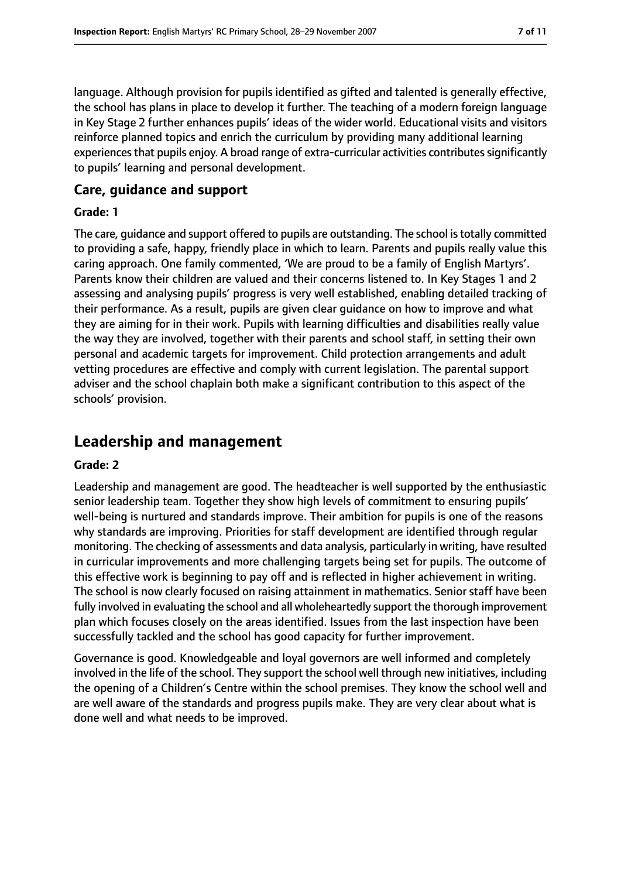language. Although provision for pupils identified as gifted and talented is generally effective, the school has plans in place to develop it further. The teaching of a modern foreign language in Key Stage 2 further enhances pupils' ideas of the wider world. Educational visits and visitors reinforce planned topics and enrich the curriculum by providing many additional learning experiences that pupils enjoy. A broad range of extra-curricular activities contributes significantly to pupils' learning and personal development.

## **Care, guidance and support**

#### **Grade: 1**

The care, quidance and support offered to pupils are outstanding. The school is totally committed to providing a safe, happy, friendly place in which to learn. Parents and pupils really value this caring approach. One family commented, 'We are proud to be a family of English Martyrs'. Parents know their children are valued and their concerns listened to. In Key Stages 1 and 2 assessing and analysing pupils' progress is very well established, enabling detailed tracking of their performance. As a result, pupils are given clear guidance on how to improve and what they are aiming for in their work. Pupils with learning difficulties and disabilities really value the way they are involved, together with their parents and school staff, in setting their own personal and academic targets for improvement. Child protection arrangements and adult vetting procedures are effective and comply with current legislation. The parental support adviser and the school chaplain both make a significant contribution to this aspect of the schools' provision.

# **Leadership and management**

#### **Grade: 2**

Leadership and management are good. The headteacher is well supported by the enthusiastic senior leadership team. Together they show high levels of commitment to ensuring pupils' well-being is nurtured and standards improve. Their ambition for pupils is one of the reasons why standards are improving. Priorities for staff development are identified through regular monitoring. The checking of assessments and data analysis, particularly in writing, have resulted in curricular improvements and more challenging targets being set for pupils. The outcome of this effective work is beginning to pay off and is reflected in higher achievement in writing. The school is now clearly focused on raising attainment in mathematics. Senior staff have been fully involved in evaluating the school and all wholeheartedly support the thorough improvement plan which focuses closely on the areas identified. Issues from the last inspection have been successfully tackled and the school has good capacity for further improvement.

Governance is good. Knowledgeable and loyal governors are well informed and completely involved in the life of the school. They support the school well through new initiatives, including the opening of a Children's Centre within the school premises. They know the school well and are well aware of the standards and progress pupils make. They are very clear about what is done well and what needs to be improved.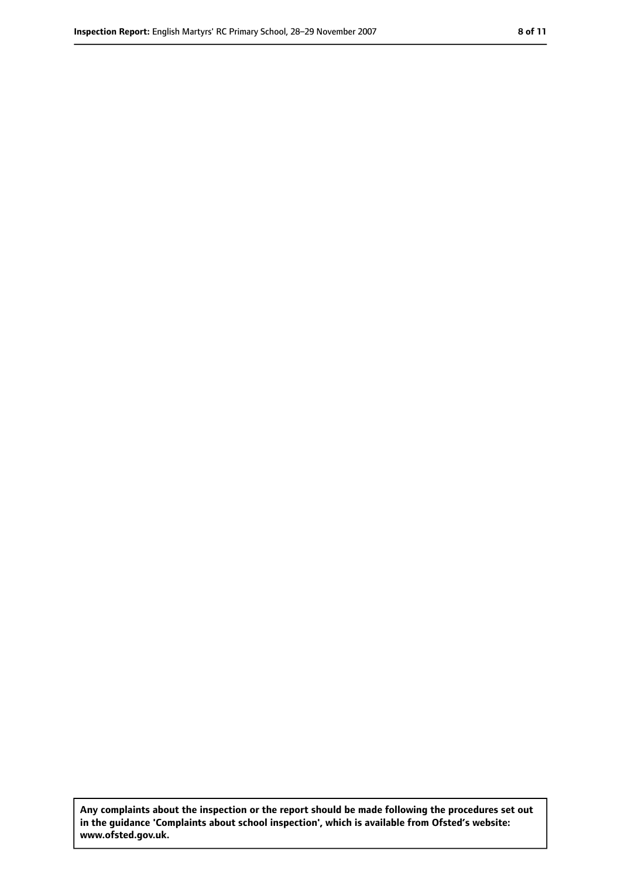**Any complaints about the inspection or the report should be made following the procedures set out in the guidance 'Complaints about school inspection', which is available from Ofsted's website: www.ofsted.gov.uk.**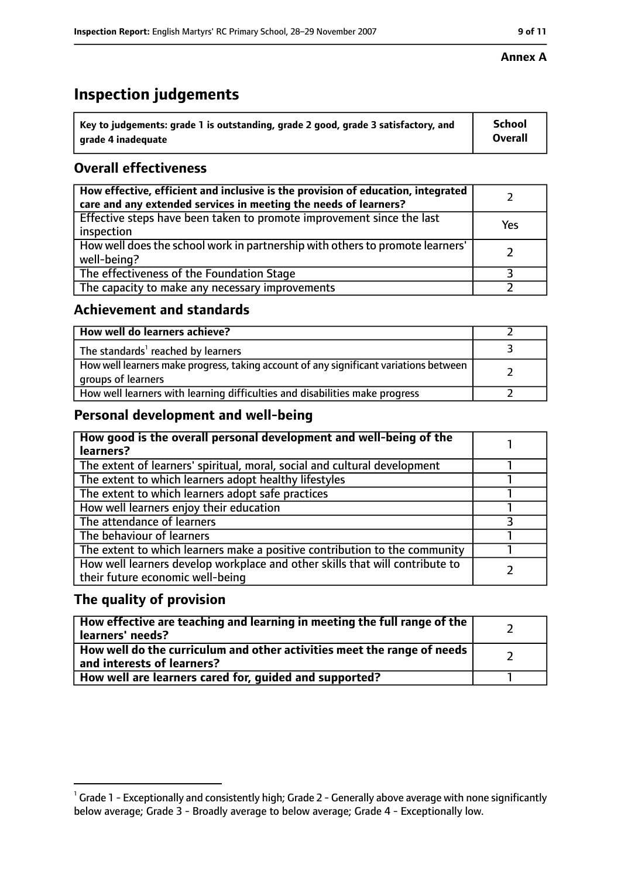# **Inspection judgements**

| $^{\backprime}$ Key to judgements: grade 1 is outstanding, grade 2 good, grade 3 satisfactory, and | School         |
|----------------------------------------------------------------------------------------------------|----------------|
| arade 4 inadequate                                                                                 | <b>Overall</b> |

# **Overall effectiveness**

| How effective, efficient and inclusive is the provision of education, integrated<br>care and any extended services in meeting the needs of learners? |     |
|------------------------------------------------------------------------------------------------------------------------------------------------------|-----|
| Effective steps have been taken to promote improvement since the last<br>inspection                                                                  | Yes |
| How well does the school work in partnership with others to promote learners'<br>well-being?                                                         |     |
| The effectiveness of the Foundation Stage                                                                                                            |     |
| The capacity to make any necessary improvements                                                                                                      |     |

## **Achievement and standards**

| How well do learners achieve?                                                                               |  |
|-------------------------------------------------------------------------------------------------------------|--|
| The standards <sup>1</sup> reached by learners                                                              |  |
| How well learners make progress, taking account of any significant variations between<br>groups of learners |  |
| How well learners with learning difficulties and disabilities make progress                                 |  |

# **Personal development and well-being**

| How good is the overall personal development and well-being of the<br>learners?                                  |  |
|------------------------------------------------------------------------------------------------------------------|--|
| The extent of learners' spiritual, moral, social and cultural development                                        |  |
| The extent to which learners adopt healthy lifestyles                                                            |  |
| The extent to which learners adopt safe practices                                                                |  |
| How well learners enjoy their education                                                                          |  |
| The attendance of learners                                                                                       |  |
| The behaviour of learners                                                                                        |  |
| The extent to which learners make a positive contribution to the community                                       |  |
| How well learners develop workplace and other skills that will contribute to<br>their future economic well-being |  |

# **The quality of provision**

| How effective are teaching and learning in meeting the full range of the<br>learners' needs?          |  |
|-------------------------------------------------------------------------------------------------------|--|
| How well do the curriculum and other activities meet the range of needs<br>and interests of learners? |  |
| How well are learners cared for, quided and supported?                                                |  |

 $^1$  Grade 1 - Exceptionally and consistently high; Grade 2 - Generally above average with none significantly below average; Grade 3 - Broadly average to below average; Grade 4 - Exceptionally low.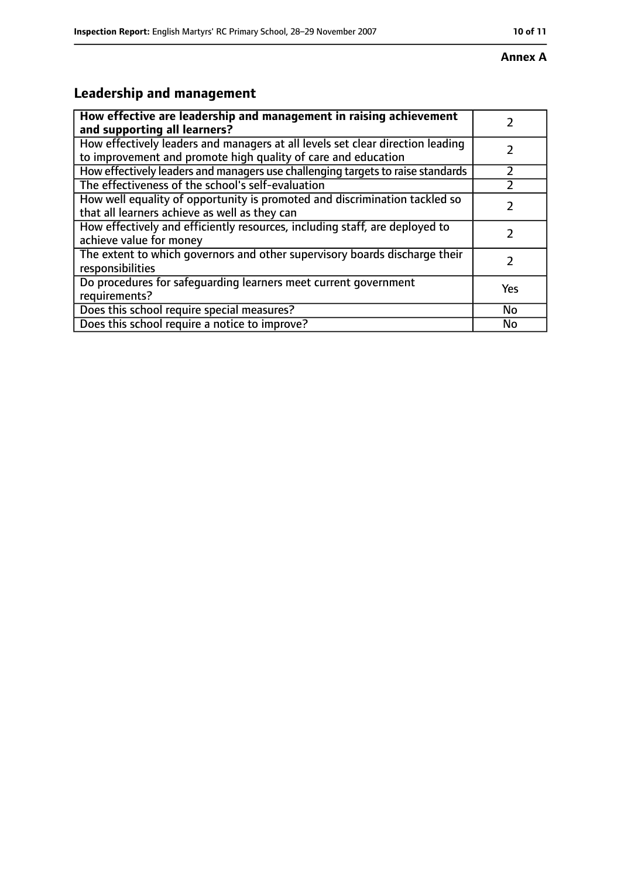#### **Annex A**

# **Leadership and management**

| How effective are leadership and management in raising achievement<br>and supporting all learners?                                              |           |
|-------------------------------------------------------------------------------------------------------------------------------------------------|-----------|
| How effectively leaders and managers at all levels set clear direction leading<br>to improvement and promote high quality of care and education |           |
| How effectively leaders and managers use challenging targets to raise standards                                                                 |           |
| The effectiveness of the school's self-evaluation                                                                                               |           |
| How well equality of opportunity is promoted and discrimination tackled so<br>that all learners achieve as well as they can                     |           |
| How effectively and efficiently resources, including staff, are deployed to<br>achieve value for money                                          |           |
| The extent to which governors and other supervisory boards discharge their<br>responsibilities                                                  |           |
| Do procedures for safequarding learners meet current government<br>requirements?                                                                | Yes       |
| Does this school require special measures?                                                                                                      | <b>No</b> |
| Does this school require a notice to improve?                                                                                                   | No        |